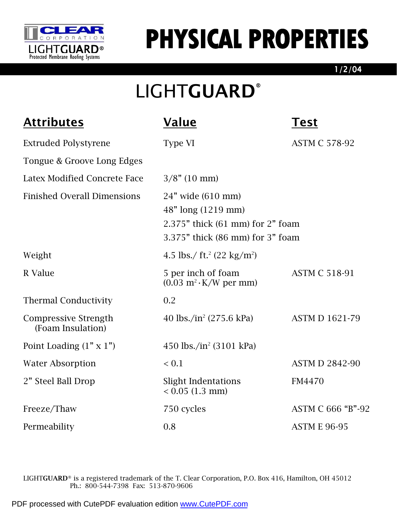

## PHYSICAL PROPERTIES

1/2/04

## LIGHTGUARD®

| <b>Attributes</b>                                | <b>Value</b>                                                                                                    | Test                  |  |
|--------------------------------------------------|-----------------------------------------------------------------------------------------------------------------|-----------------------|--|
| <b>Extruded Polystyrene</b>                      | Type VI                                                                                                         | <b>ASTM C 578-92</b>  |  |
| Tongue & Groove Long Edges                       |                                                                                                                 |                       |  |
| <b>Latex Modified Concrete Face</b>              | $3/8$ " (10 mm)                                                                                                 |                       |  |
| <b>Finished Overall Dimensions</b>               | 24" wide (610 mm)<br>48" long (1219 mm)<br>2.375" thick (61 mm) for 2" foam<br>3.375" thick (86 mm) for 3" foam |                       |  |
| Weight                                           | 4.5 lbs./ ft. <sup>2</sup> (22 kg/m <sup>2</sup> )                                                              |                       |  |
| R Value                                          | 5 per inch of foam<br>$(0.03 \text{ m}^2 \cdot \text{K/W} \text{ per mm})$                                      | <b>ASTM C 518-91</b>  |  |
| <b>Thermal Conductivity</b>                      | 0.2                                                                                                             |                       |  |
| <b>Compressive Strength</b><br>(Foam Insulation) | 40 lbs./in <sup>2</sup> (275.6 kPa)                                                                             | <b>ASTM D 1621-79</b> |  |
| Point Loading $(1" \times 1")$                   | 450 lbs./in <sup>2</sup> (3101 kPa)                                                                             |                       |  |
| <b>Water Absorption</b>                          | ${}< 0.1$                                                                                                       | <b>ASTM D 2842-90</b> |  |
| 2" Steel Ball Drop                               | <b>Slight Indentations</b><br>$< 0.05$ (1.3 mm)                                                                 | <b>FM4470</b>         |  |
| Freeze/Thaw                                      | 750 cycles                                                                                                      | ASTM C 666 "B"-92     |  |
| Permeability                                     | 0.8                                                                                                             | <b>ASTM E 96-95</b>   |  |

LIGHTGUARD® is a registered trademark of the T. Clear Corporation, P.O. Box 416, Hamilton, OH 45012 Ph.: 800-544-7398 Fax: 513-870-9606